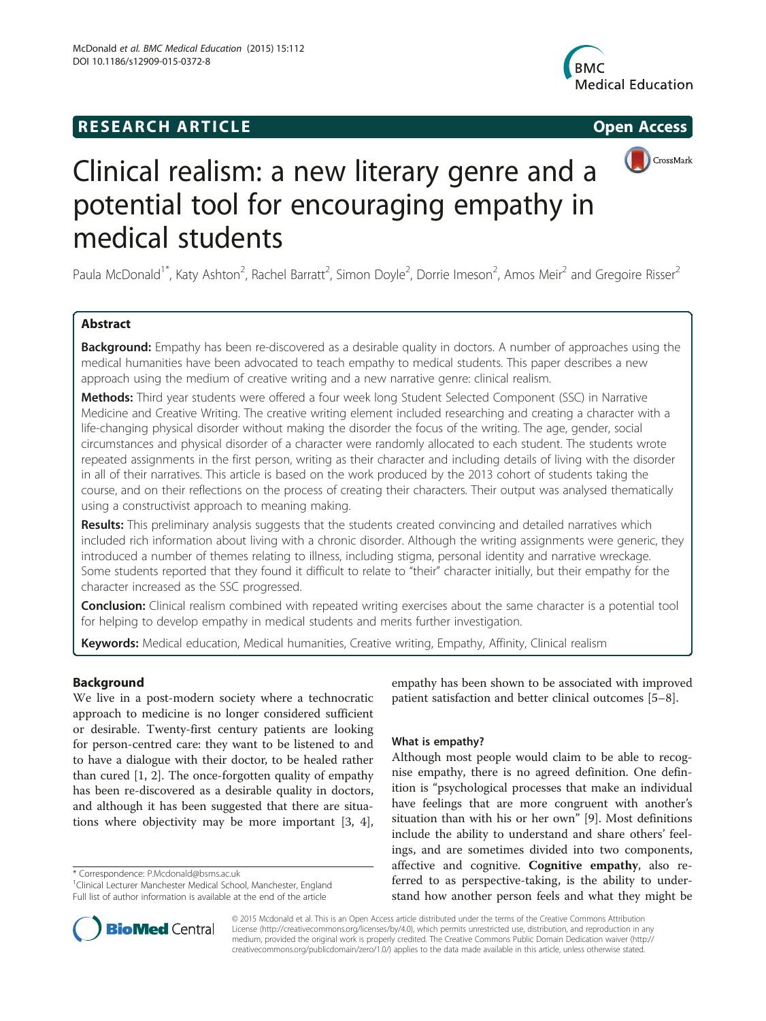# **RESEARCH ARTICLE Example 2014 CONSIDERING CONSIDERING CONSIDERING CONSIDERING CONSIDERING CONSIDERING CONSIDERING CONSIDERING CONSIDERING CONSIDERING CONSIDERING CONSIDERING CONSIDERING CONSIDERING CONSIDERING CONSIDE**





# Clinical realism: a new literary genre and a potential tool for encouraging empathy in medical students

Paula McDonald<sup>1\*</sup>, Katy Ashton<sup>2</sup>, Rachel Barratt<sup>2</sup>, Simon Doyle<sup>2</sup>, Dorrie Imeson<sup>2</sup>, Amos Meir<sup>2</sup> and Gregoire Risser<sup>2</sup>

# Abstract

Background: Empathy has been re-discovered as a desirable quality in doctors. A number of approaches using the medical humanities have been advocated to teach empathy to medical students. This paper describes a new approach using the medium of creative writing and a new narrative genre: clinical realism.

Methods: Third year students were offered a four week long Student Selected Component (SSC) in Narrative Medicine and Creative Writing. The creative writing element included researching and creating a character with a life-changing physical disorder without making the disorder the focus of the writing. The age, gender, social circumstances and physical disorder of a character were randomly allocated to each student. The students wrote repeated assignments in the first person, writing as their character and including details of living with the disorder in all of their narratives. This article is based on the work produced by the 2013 cohort of students taking the course, and on their reflections on the process of creating their characters. Their output was analysed thematically using a constructivist approach to meaning making.

Results: This preliminary analysis suggests that the students created convincing and detailed narratives which included rich information about living with a chronic disorder. Although the writing assignments were generic, they introduced a number of themes relating to illness, including stigma, personal identity and narrative wreckage. Some students reported that they found it difficult to relate to "their" character initially, but their empathy for the character increased as the SSC progressed.

Conclusion: Clinical realism combined with repeated writing exercises about the same character is a potential tool for helping to develop empathy in medical students and merits further investigation.

Keywords: Medical education, Medical humanities, Creative writing, Empathy, Affinity, Clinical realism

# Background

We live in a post-modern society where a technocratic approach to medicine is no longer considered sufficient or desirable. Twenty-first century patients are looking for person-centred care: they want to be listened to and to have a dialogue with their doctor, to be healed rather than cured [\[1](#page-8-0), [2](#page-8-0)]. The once-forgotten quality of empathy has been re-discovered as a desirable quality in doctors, and although it has been suggested that there are situations where objectivity may be more important [\[3](#page-8-0), [4](#page-8-0)],

\* Correspondence: [P.Mcdonald@bsms.ac.uk](mailto:P.Mcdonald@bsms.ac.uk) <sup>1</sup>

<sup>1</sup>Clinical Lecturer Manchester Medical School, Manchester, England Full list of author information is available at the end of the article

empathy has been shown to be associated with improved patient satisfaction and better clinical outcomes [[5](#page-8-0)–[8\]](#page-8-0).

# What is empathy?

Although most people would claim to be able to recognise empathy, there is no agreed definition. One definition is "psychological processes that make an individual have feelings that are more congruent with another's situation than with his or her own" [[9](#page-8-0)]. Most definitions include the ability to understand and share others' feelings, and are sometimes divided into two components, affective and cognitive. Cognitive empathy, also referred to as perspective-taking, is the ability to understand how another person feels and what they might be



© 2015 Mcdonald et al. This is an Open Access article distributed under the terms of the Creative Commons Attribution License (<http://creativecommons.org/licenses/by/4.0>), which permits unrestricted use, distribution, and reproduction in any medium, provided the original work is properly credited. The Creative Commons Public Domain Dedication waiver [\(http://](http://creativecommons.org/publicdomain/zero/1.0/) [creativecommons.org/publicdomain/zero/1.0/\)](http://creativecommons.org/publicdomain/zero/1.0/) applies to the data made available in this article, unless otherwise stated.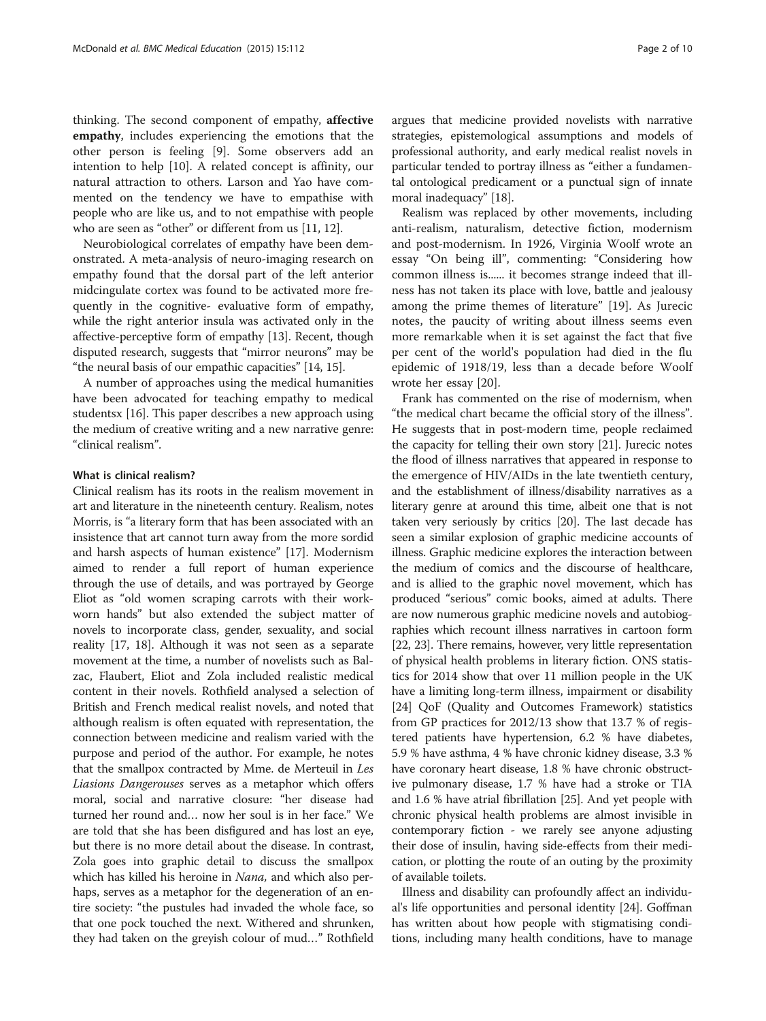thinking. The second component of empathy, affective empathy, includes experiencing the emotions that the other person is feeling [\[9](#page-8-0)]. Some observers add an intention to help [\[10](#page-8-0)]. A related concept is affinity, our natural attraction to others. Larson and Yao have commented on the tendency we have to empathise with people who are like us, and to not empathise with people who are seen as "other" or different from us [\[11, 12](#page-8-0)].

Neurobiological correlates of empathy have been demonstrated. A meta-analysis of neuro-imaging research on empathy found that the dorsal part of the left anterior midcingulate cortex was found to be activated more frequently in the cognitive- evaluative form of empathy, while the right anterior insula was activated only in the affective-perceptive form of empathy [\[13](#page-8-0)]. Recent, though disputed research, suggests that "mirror neurons" may be "the neural basis of our empathic capacities" [\[14, 15](#page-8-0)].

A number of approaches using the medical humanities have been advocated for teaching empathy to medical studentsx [[16](#page-8-0)]. This paper describes a new approach using the medium of creative writing and a new narrative genre: "clinical realism".

# What is clinical realism?

Clinical realism has its roots in the realism movement in art and literature in the nineteenth century. Realism, notes Morris, is "a literary form that has been associated with an insistence that art cannot turn away from the more sordid and harsh aspects of human existence" [\[17\]](#page-8-0). Modernism aimed to render a full report of human experience through the use of details, and was portrayed by George Eliot as "old women scraping carrots with their workworn hands" but also extended the subject matter of novels to incorporate class, gender, sexuality, and social reality [[17](#page-8-0), [18\]](#page-8-0). Although it was not seen as a separate movement at the time, a number of novelists such as Balzac, Flaubert, Eliot and Zola included realistic medical content in their novels. Rothfield analysed a selection of British and French medical realist novels, and noted that although realism is often equated with representation, the connection between medicine and realism varied with the purpose and period of the author. For example, he notes that the smallpox contracted by Mme. de Merteuil in Les Liasions Dangerouses serves as a metaphor which offers moral, social and narrative closure: "her disease had turned her round and… now her soul is in her face." We are told that she has been disfigured and has lost an eye, but there is no more detail about the disease. In contrast, Zola goes into graphic detail to discuss the smallpox which has killed his heroine in *Nana*, and which also perhaps, serves as a metaphor for the degeneration of an entire society: "the pustules had invaded the whole face, so that one pock touched the next. Withered and shrunken, they had taken on the greyish colour of mud…" Rothfield argues that medicine provided novelists with narrative strategies, epistemological assumptions and models of professional authority, and early medical realist novels in particular tended to portray illness as "either a fundamental ontological predicament or a punctual sign of innate moral inadequacy" [[18\]](#page-8-0).

Realism was replaced by other movements, including anti-realism, naturalism, detective fiction, modernism and post-modernism. In 1926, Virginia Woolf wrote an essay "On being ill", commenting: "Considering how common illness is...... it becomes strange indeed that illness has not taken its place with love, battle and jealousy among the prime themes of literature" [\[19](#page-8-0)]. As Jurecic notes, the paucity of writing about illness seems even more remarkable when it is set against the fact that five per cent of the world's population had died in the flu epidemic of 1918/19, less than a decade before Woolf wrote her essay [\[20\]](#page-8-0).

Frank has commented on the rise of modernism, when "the medical chart became the official story of the illness". He suggests that in post-modern time, people reclaimed the capacity for telling their own story [\[21\]](#page-8-0). Jurecic notes the flood of illness narratives that appeared in response to the emergence of HIV/AIDs in the late twentieth century, and the establishment of illness/disability narratives as a literary genre at around this time, albeit one that is not taken very seriously by critics [\[20\]](#page-8-0). The last decade has seen a similar explosion of graphic medicine accounts of illness. Graphic medicine explores the interaction between the medium of comics and the discourse of healthcare, and is allied to the graphic novel movement, which has produced "serious" comic books, aimed at adults. There are now numerous graphic medicine novels and autobiographies which recount illness narratives in cartoon form [[22](#page-8-0), [23\]](#page-8-0). There remains, however, very little representation of physical health problems in literary fiction. ONS statistics for 2014 show that over 11 million people in the UK have a limiting long-term illness, impairment or disability [[24](#page-8-0)] QoF (Quality and Outcomes Framework) statistics from GP practices for 2012/13 show that 13.7 % of registered patients have hypertension, 6.2 % have diabetes, 5.9 % have asthma, 4 % have chronic kidney disease, 3.3 % have coronary heart disease, 1.8 % have chronic obstructive pulmonary disease, 1.7 % have had a stroke or TIA and 1.6 % have atrial fibrillation [[25](#page-8-0)]. And yet people with chronic physical health problems are almost invisible in contemporary fiction - we rarely see anyone adjusting their dose of insulin, having side-effects from their medication, or plotting the route of an outing by the proximity of available toilets.

Illness and disability can profoundly affect an individual's life opportunities and personal identity [[24](#page-8-0)]. Goffman has written about how people with stigmatising conditions, including many health conditions, have to manage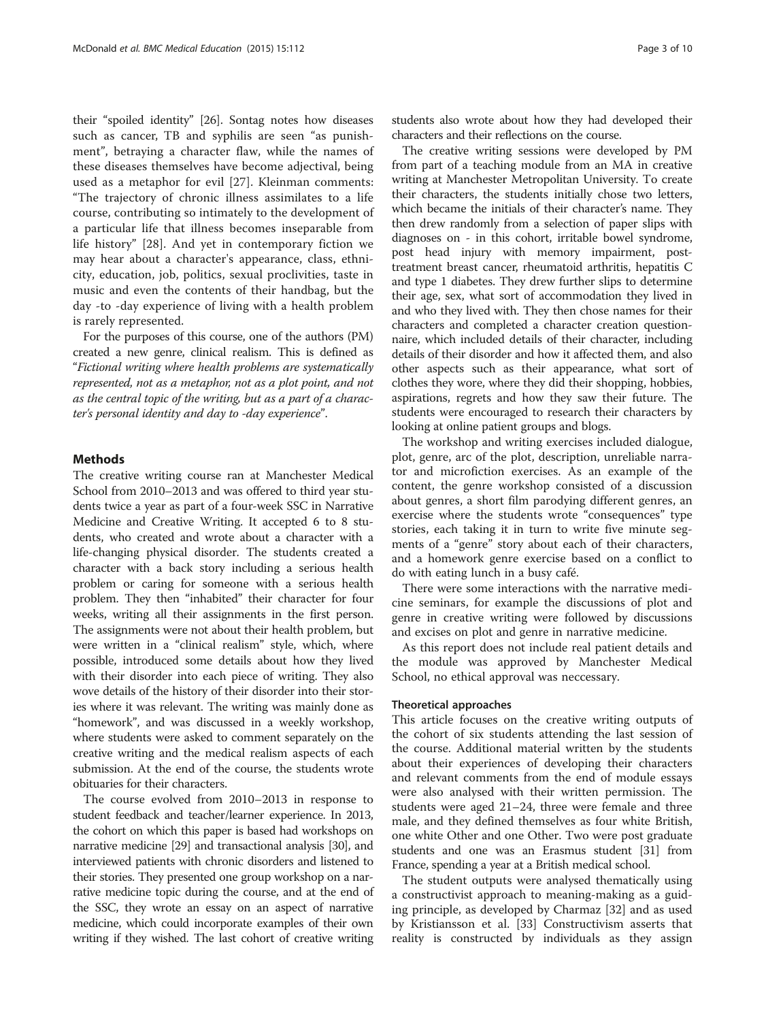their "spoiled identity" [[26](#page-8-0)]. Sontag notes how diseases such as cancer, TB and syphilis are seen "as punishment", betraying a character flaw, while the names of these diseases themselves have become adjectival, being used as a metaphor for evil [\[27\]](#page-8-0). Kleinman comments: "The trajectory of chronic illness assimilates to a life course, contributing so intimately to the development of a particular life that illness becomes inseparable from life history" [[28\]](#page-8-0). And yet in contemporary fiction we may hear about a character's appearance, class, ethnicity, education, job, politics, sexual proclivities, taste in music and even the contents of their handbag, but the day -to -day experience of living with a health problem is rarely represented.

For the purposes of this course, one of the authors (PM) created a new genre, clinical realism. This is defined as "Fictional writing where health problems are systematically represented, not as a metaphor, not as a plot point, and not as the central topic of the writing, but as a part of a character's personal identity and day to -day experience".

#### **Methods**

The creative writing course ran at Manchester Medical School from 2010–2013 and was offered to third year students twice a year as part of a four-week SSC in Narrative Medicine and Creative Writing. It accepted 6 to 8 students, who created and wrote about a character with a life-changing physical disorder. The students created a character with a back story including a serious health problem or caring for someone with a serious health problem. They then "inhabited" their character for four weeks, writing all their assignments in the first person. The assignments were not about their health problem, but were written in a "clinical realism" style, which, where possible, introduced some details about how they lived with their disorder into each piece of writing. They also wove details of the history of their disorder into their stories where it was relevant. The writing was mainly done as "homework", and was discussed in a weekly workshop, where students were asked to comment separately on the creative writing and the medical realism aspects of each submission. At the end of the course, the students wrote obituaries for their characters.

The course evolved from 2010–2013 in response to student feedback and teacher/learner experience. In 2013, the cohort on which this paper is based had workshops on narrative medicine [\[29\]](#page-8-0) and transactional analysis [\[30\]](#page-8-0), and interviewed patients with chronic disorders and listened to their stories. They presented one group workshop on a narrative medicine topic during the course, and at the end of the SSC, they wrote an essay on an aspect of narrative medicine, which could incorporate examples of their own writing if they wished. The last cohort of creative writing students also wrote about how they had developed their characters and their reflections on the course.

The creative writing sessions were developed by PM from part of a teaching module from an MA in creative writing at Manchester Metropolitan University. To create their characters, the students initially chose two letters, which became the initials of their character's name. They then drew randomly from a selection of paper slips with diagnoses on - in this cohort, irritable bowel syndrome, post head injury with memory impairment, posttreatment breast cancer, rheumatoid arthritis, hepatitis C and type 1 diabetes. They drew further slips to determine their age, sex, what sort of accommodation they lived in and who they lived with. They then chose names for their characters and completed a character creation questionnaire, which included details of their character, including details of their disorder and how it affected them, and also other aspects such as their appearance, what sort of clothes they wore, where they did their shopping, hobbies, aspirations, regrets and how they saw their future. The students were encouraged to research their characters by looking at online patient groups and blogs.

The workshop and writing exercises included dialogue, plot, genre, arc of the plot, description, unreliable narrator and microfiction exercises. As an example of the content, the genre workshop consisted of a discussion about genres, a short film parodying different genres, an exercise where the students wrote "consequences" type stories, each taking it in turn to write five minute segments of a "genre" story about each of their characters, and a homework genre exercise based on a conflict to do with eating lunch in a busy café.

There were some interactions with the narrative medicine seminars, for example the discussions of plot and genre in creative writing were followed by discussions and excises on plot and genre in narrative medicine.

As this report does not include real patient details and the module was approved by Manchester Medical School, no ethical approval was neccessary.

#### Theoretical approaches

This article focuses on the creative writing outputs of the cohort of six students attending the last session of the course. Additional material written by the students about their experiences of developing their characters and relevant comments from the end of module essays were also analysed with their written permission. The students were aged 21–24, three were female and three male, and they defined themselves as four white British, one white Other and one Other. Two were post graduate students and one was an Erasmus student [\[31](#page-8-0)] from France, spending a year at a British medical school.

The student outputs were analysed thematically using a constructivist approach to meaning-making as a guiding principle, as developed by Charmaz [[32\]](#page-8-0) and as used by Kristiansson et al. [[33\]](#page-8-0) Constructivism asserts that reality is constructed by individuals as they assign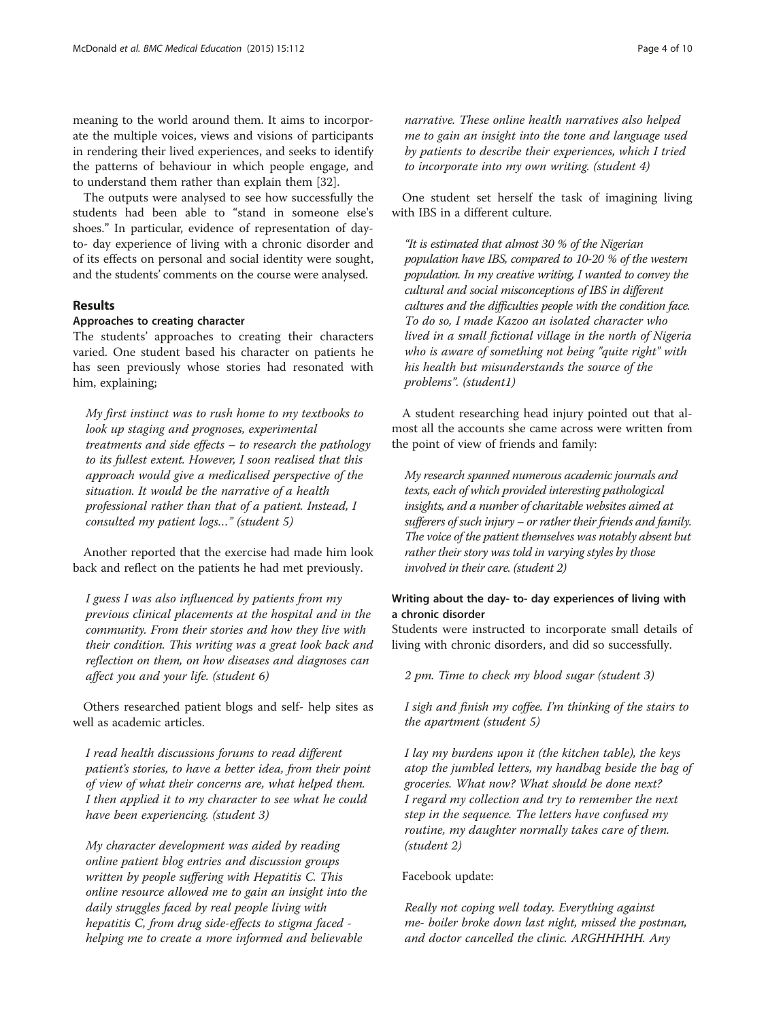meaning to the world around them. It aims to incorporate the multiple voices, views and visions of participants in rendering their lived experiences, and seeks to identify the patterns of behaviour in which people engage, and to understand them rather than explain them [\[32\]](#page-8-0).

The outputs were analysed to see how successfully the students had been able to "stand in someone else's shoes." In particular, evidence of representation of dayto- day experience of living with a chronic disorder and of its effects on personal and social identity were sought, and the students' comments on the course were analysed.

# Results

# Approaches to creating character

The students' approaches to creating their characters varied. One student based his character on patients he has seen previously whose stories had resonated with him, explaining;

My first instinct was to rush home to my textbooks to look up staging and prognoses, experimental treatments and side effects – to research the pathology to its fullest extent. However, I soon realised that this approach would give a medicalised perspective of the situation. It would be the narrative of a health professional rather than that of a patient. Instead, I consulted my patient logs…" (student 5)

Another reported that the exercise had made him look back and reflect on the patients he had met previously.

I guess I was also influenced by patients from my previous clinical placements at the hospital and in the community. From their stories and how they live with their condition. This writing was a great look back and reflection on them, on how diseases and diagnoses can affect you and your life. (student 6)

Others researched patient blogs and self- help sites as well as academic articles.

I read health discussions forums to read different patient's stories, to have a better idea, from their point of view of what their concerns are, what helped them. I then applied it to my character to see what he could have been experiencing. (student 3)

My character development was aided by reading online patient blog entries and discussion groups written by people suffering with Hepatitis C. This online resource allowed me to gain an insight into the daily struggles faced by real people living with hepatitis C, from drug side-effects to stigma faced helping me to create a more informed and believable

narrative. These online health narratives also helped me to gain an insight into the tone and language used by patients to describe their experiences, which I tried to incorporate into my own writing. (student 4)

One student set herself the task of imagining living with IBS in a different culture.

"It is estimated that almost 30 % of the Nigerian population have IBS, compared to 10-20 % of the western population. In my creative writing, I wanted to convey the cultural and social misconceptions of IBS in different cultures and the difficulties people with the condition face. To do so, I made Kazoo an isolated character who lived in a small fictional village in the north of Nigeria who is aware of something not being "quite right" with his health but misunderstands the source of the problems". (student1)

A student researching head injury pointed out that almost all the accounts she came across were written from the point of view of friends and family:

My research spanned numerous academic journals and texts, each of which provided interesting pathological insights, and a number of charitable websites aimed at sufferers of such injury – or rather their friends and family. The voice of the patient themselves was notably absent but rather their story was told in varying styles by those involved in their care. (student 2)

# Writing about the day- to- day experiences of living with a chronic disorder

Students were instructed to incorporate small details of living with chronic disorders, and did so successfully.

2 pm. Time to check my blood sugar (student 3)

I sigh and finish my coffee. I'm thinking of the stairs to the apartment (student 5)

I lay my burdens upon it (the kitchen table), the keys atop the jumbled letters, my handbag beside the bag of groceries. What now? What should be done next? I regard my collection and try to remember the next step in the sequence. The letters have confused my routine, my daughter normally takes care of them. (student 2)

# Facebook update:

Really not coping well today. Everything against me- boiler broke down last night, missed the postman, and doctor cancelled the clinic. ARGHHHHH. Any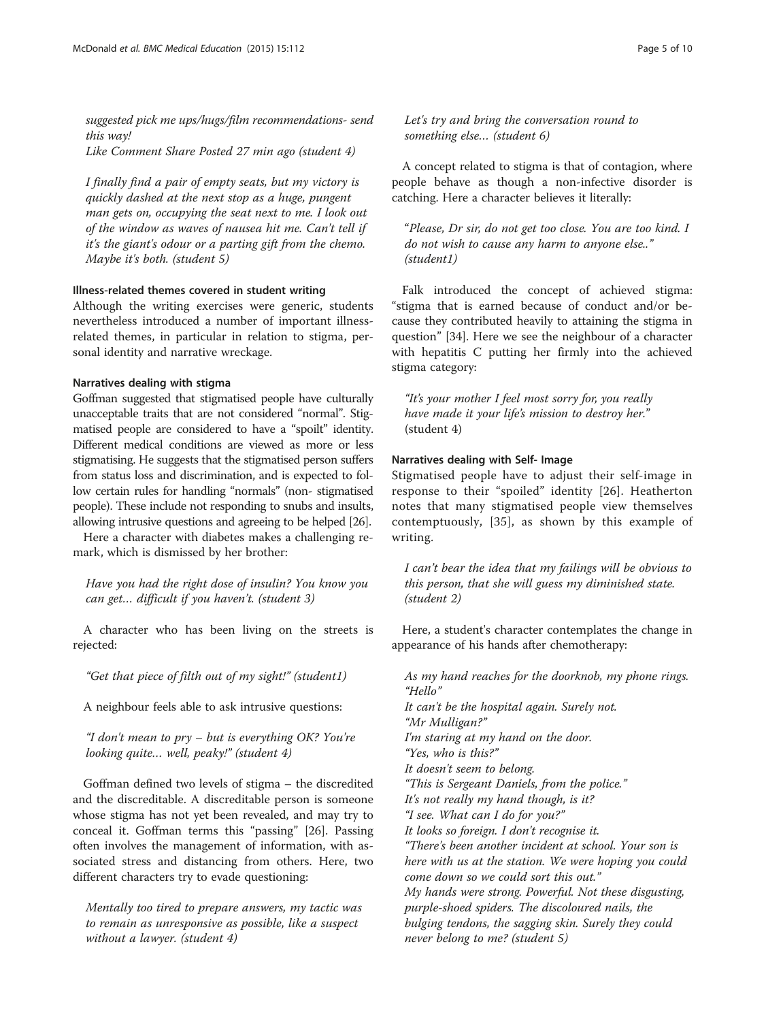suggested pick me ups/hugs/film recommendations- send this way! Like Comment Share Posted 27 min ago (student 4)

I finally find a pair of empty seats, but my victory is quickly dashed at the next stop as a huge, pungent man gets on, occupying the seat next to me. I look out of the window as waves of nausea hit me. Can't tell if it's the giant's odour or a parting gift from the chemo. Maybe it's both. (student 5)

# Illness-related themes covered in student writing

Although the writing exercises were generic, students nevertheless introduced a number of important illnessrelated themes, in particular in relation to stigma, personal identity and narrative wreckage.

#### Narratives dealing with stigma

Goffman suggested that stigmatised people have culturally unacceptable traits that are not considered "normal". Stigmatised people are considered to have a "spoilt" identity. Different medical conditions are viewed as more or less stigmatising. He suggests that the stigmatised person suffers from status loss and discrimination, and is expected to follow certain rules for handling "normals" (non- stigmatised people). These include not responding to snubs and insults, allowing intrusive questions and agreeing to be helped [\[26\]](#page-8-0).

Here a character with diabetes makes a challenging remark, which is dismissed by her brother:

Have you had the right dose of insulin? You know you can get… difficult if you haven't. (student 3)

A character who has been living on the streets is rejected:

"Get that piece of filth out of my sight!" (student1)

A neighbour feels able to ask intrusive questions:

"I don't mean to pry – but is everything OK? You're looking quite… well, peaky!" (student 4)

Goffman defined two levels of stigma – the discredited and the discreditable. A discreditable person is someone whose stigma has not yet been revealed, and may try to conceal it. Goffman terms this "passing" [\[26\]](#page-8-0). Passing often involves the management of information, with associated stress and distancing from others. Here, two different characters try to evade questioning:

Mentally too tired to prepare answers, my tactic was to remain as unresponsive as possible, like a suspect without a lawyer. (student 4)

Let's try and bring the conversation round to something else… (student 6)

A concept related to stigma is that of contagion, where people behave as though a non-infective disorder is catching. Here a character believes it literally:

"Please, Dr sir, do not get too close. You are too kind. I do not wish to cause any harm to anyone else.." (student1)

Falk introduced the concept of achieved stigma: "stigma that is earned because of conduct and/or because they contributed heavily to attaining the stigma in question" [[34](#page-8-0)]. Here we see the neighbour of a character with hepatitis C putting her firmly into the achieved stigma category:

"It's your mother I feel most sorry for, you really have made it your life's mission to destroy her." (student 4)

# Narratives dealing with Self- Image

Stigmatised people have to adjust their self-image in response to their "spoiled" identity [\[26\]](#page-8-0). Heatherton notes that many stigmatised people view themselves contemptuously, [\[35](#page-8-0)], as shown by this example of writing.

I can't bear the idea that my failings will be obvious to this person, that she will guess my diminished state. (student 2)

Here, a student's character contemplates the change in appearance of his hands after chemotherapy:

As my hand reaches for the doorknob, my phone rings. "Hello" It can't be the hospital again. Surely not. "Mr Mulligan?" I'm staring at my hand on the door. "Yes, who is this?" It doesn't seem to belong. "This is Sergeant Daniels, from the police." It's not really my hand though, is it? "I see. What can I do for you?" It looks so foreign. I don't recognise it. "There's been another incident at school. Your son is here with us at the station. We were hoping you could come down so we could sort this out." My hands were strong. Powerful. Not these disgusting, purple-shoed spiders. The discoloured nails, the bulging tendons, the sagging skin. Surely they could never belong to me? (student 5)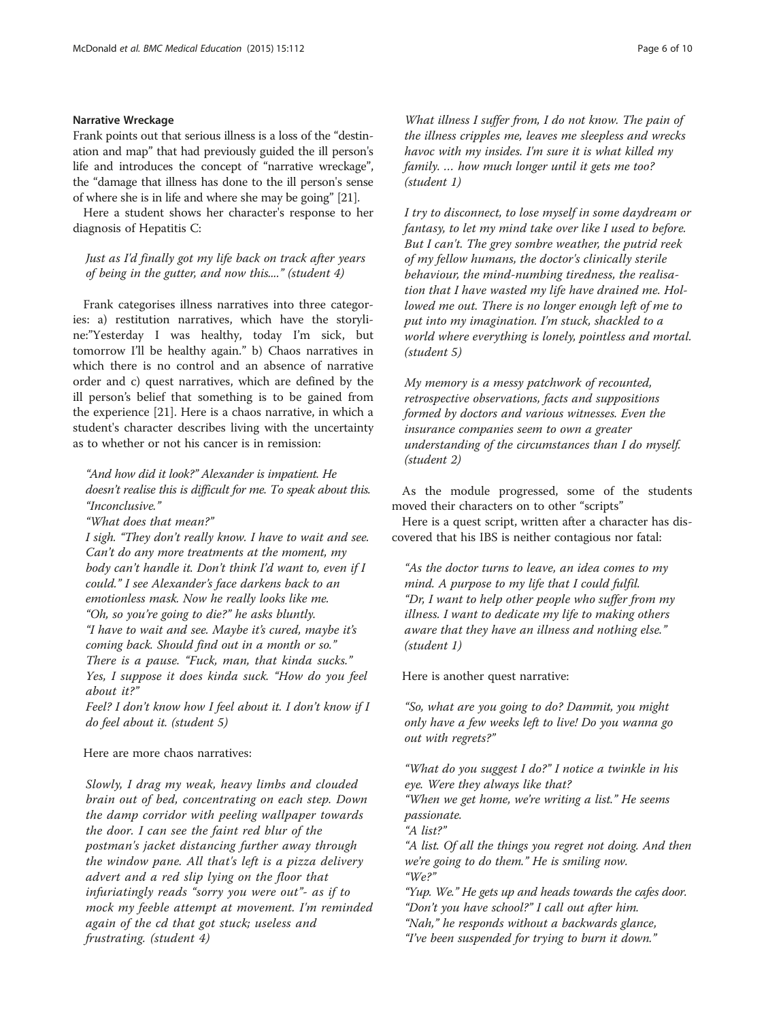#### Narrative Wreckage

Frank points out that serious illness is a loss of the "destination and map" that had previously guided the ill person's life and introduces the concept of "narrative wreckage", the "damage that illness has done to the ill person's sense of where she is in life and where she may be going" [\[21\]](#page-8-0).

Here a student shows her character's response to her diagnosis of Hepatitis C:

Just as I'd finally got my life back on track after years of being in the gutter, and now this...." (student 4)

Frank categorises illness narratives into three categories: a) restitution narratives, which have the storyline:"Yesterday I was healthy, today I'm sick, but tomorrow I'll be healthy again." b) Chaos narratives in which there is no control and an absence of narrative order and c) quest narratives, which are defined by the ill person's belief that something is to be gained from the experience [\[21](#page-8-0)]. Here is a chaos narrative, in which a student's character describes living with the uncertainty as to whether or not his cancer is in remission:

"And how did it look?" Alexander is impatient. He doesn't realise this is difficult for me. To speak about this. "Inconclusive."

"What does that mean?"

I sigh. "They don't really know. I have to wait and see. Can't do any more treatments at the moment, my body can't handle it. Don't think I'd want to, even if I could." I see Alexander's face darkens back to an emotionless mask. Now he really looks like me. "Oh, so you're going to die?" he asks bluntly. "I have to wait and see. Maybe it's cured, maybe it's coming back. Should find out in a month or so." There is a pause. "Fuck, man, that kinda sucks." Yes, I suppose it does kinda suck. "How do you feel about it?"

Feel? I don't know how I feel about it. I don't know if I do feel about it. (student 5)

# Here are more chaos narratives:

Slowly, I drag my weak, heavy limbs and clouded brain out of bed, concentrating on each step. Down the damp corridor with peeling wallpaper towards the door. I can see the faint red blur of the postman's jacket distancing further away through the window pane. All that's left is a pizza delivery advert and a red slip lying on the floor that infuriatingly reads "sorry you were out"- as if to mock my feeble attempt at movement. I'm reminded again of the cd that got stuck; useless and frustrating. (student 4)

What illness I suffer from, I do not know. The pain of the illness cripples me, leaves me sleepless and wrecks havoc with my insides. I'm sure it is what killed my family. … how much longer until it gets me too? (student 1)

I try to disconnect, to lose myself in some daydream or fantasy, to let my mind take over like I used to before. But I can't. The grey sombre weather, the putrid reek of my fellow humans, the doctor's clinically sterile behaviour, the mind-numbing tiredness, the realisation that I have wasted my life have drained me. Hollowed me out. There is no longer enough left of me to put into my imagination. I'm stuck, shackled to a world where everything is lonely, pointless and mortal. (student 5)

My memory is a messy patchwork of recounted, retrospective observations, facts and suppositions formed by doctors and various witnesses. Even the insurance companies seem to own a greater understanding of the circumstances than I do myself. (student 2)

As the module progressed, some of the students moved their characters on to other "scripts"

Here is a quest script, written after a character has discovered that his IBS is neither contagious nor fatal:

"As the doctor turns to leave, an idea comes to my mind. A purpose to my life that I could fulfil. "Dr, I want to help other people who suffer from my illness. I want to dedicate my life to making others aware that they have an illness and nothing else." (student 1)

Here is another quest narrative:

"So, what are you going to do? Dammit, you might only have a few weeks left to live! Do you wanna go out with regrets?"

"What do you suggest I do?" I notice a twinkle in his eye. Were they always like that? "When we get home, we're writing a list." He seems passionate. "A list?"

"A list. Of all the things you regret not doing. And then we're going to do them." He is smiling now. "We?"

"Yup. We." He gets up and heads towards the cafes door. "Don't you have school?" I call out after him. "Nah," he responds without a backwards glance, "I've been suspended for trying to burn it down."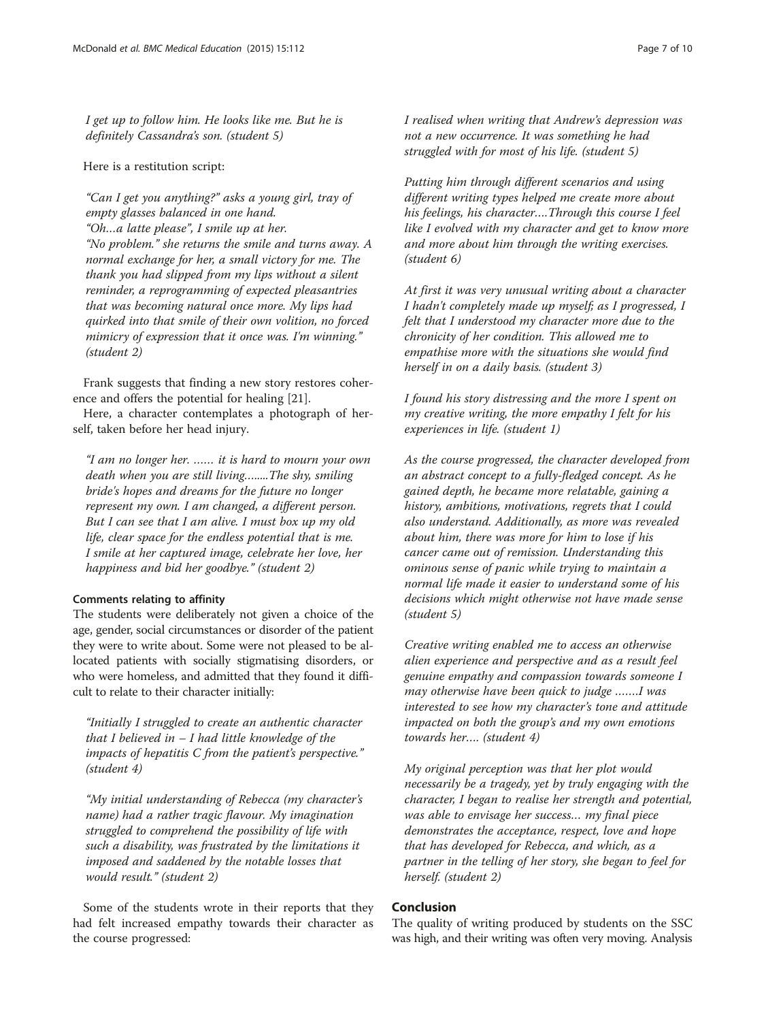I get up to follow him. He looks like me. But he is definitely Cassandra's son. (student 5)

Here is a restitution script:

"Can I get you anything?" asks a young girl, tray of empty glasses balanced in one hand. "Oh…a latte please", I smile up at her. "No problem." she returns the smile and turns away. A normal exchange for her, a small victory for me. The thank you had slipped from my lips without a silent reminder, a reprogramming of expected pleasantries that was becoming natural once more. My lips had quirked into that smile of their own volition, no forced mimicry of expression that it once was. I'm winning." (student 2)

Frank suggests that finding a new story restores coherence and offers the potential for healing [[21](#page-8-0)].

Here, a character contemplates a photograph of herself, taken before her head injury.

"I am no longer her. …… it is hard to mourn your own death when you are still living........The shy, smiling bride's hopes and dreams for the future no longer represent my own. I am changed, a different person. But I can see that I am alive. I must box up my old life, clear space for the endless potential that is me. I smile at her captured image, celebrate her love, her happiness and bid her goodbye." (student 2)

# Comments relating to affinity

The students were deliberately not given a choice of the age, gender, social circumstances or disorder of the patient they were to write about. Some were not pleased to be allocated patients with socially stigmatising disorders, or who were homeless, and admitted that they found it difficult to relate to their character initially:

"Initially I struggled to create an authentic character that I believed in  $-I$  had little knowledge of the impacts of hepatitis C from the patient's perspective." (student 4)

"My initial understanding of Rebecca (my character's name) had a rather tragic flavour. My imagination struggled to comprehend the possibility of life with such a disability, was frustrated by the limitations it imposed and saddened by the notable losses that would result." (student 2)

Some of the students wrote in their reports that they had felt increased empathy towards their character as the course progressed:

I realised when writing that Andrew's depression was not a new occurrence. It was something he had struggled with for most of his life. (student 5)

Putting him through different scenarios and using different writing types helped me create more about his feelings, his character….Through this course I feel like I evolved with my character and get to know more and more about him through the writing exercises. (student 6)

At first it was very unusual writing about a character I hadn't completely made up myself; as I progressed, I felt that I understood my character more due to the chronicity of her condition. This allowed me to empathise more with the situations she would find herself in on a daily basis. (student 3)

I found his story distressing and the more I spent on my creative writing, the more empathy I felt for his experiences in life. (student 1)

As the course progressed, the character developed from an abstract concept to a fully-fledged concept. As he gained depth, he became more relatable, gaining a history, ambitions, motivations, regrets that I could also understand. Additionally, as more was revealed about him, there was more for him to lose if his cancer came out of remission. Understanding this ominous sense of panic while trying to maintain a normal life made it easier to understand some of his decisions which might otherwise not have made sense (student 5)

Creative writing enabled me to access an otherwise alien experience and perspective and as a result feel genuine empathy and compassion towards someone I may otherwise have been quick to judge …….I was interested to see how my character's tone and attitude impacted on both the group's and my own emotions towards her…. (student 4)

My original perception was that her plot would necessarily be a tragedy, yet by truly engaging with the character, I began to realise her strength and potential, was able to envisage her success… my final piece demonstrates the acceptance, respect, love and hope that has developed for Rebecca, and which, as a partner in the telling of her story, she began to feel for herself. (student 2)

# Conclusion

The quality of writing produced by students on the SSC was high, and their writing was often very moving. Analysis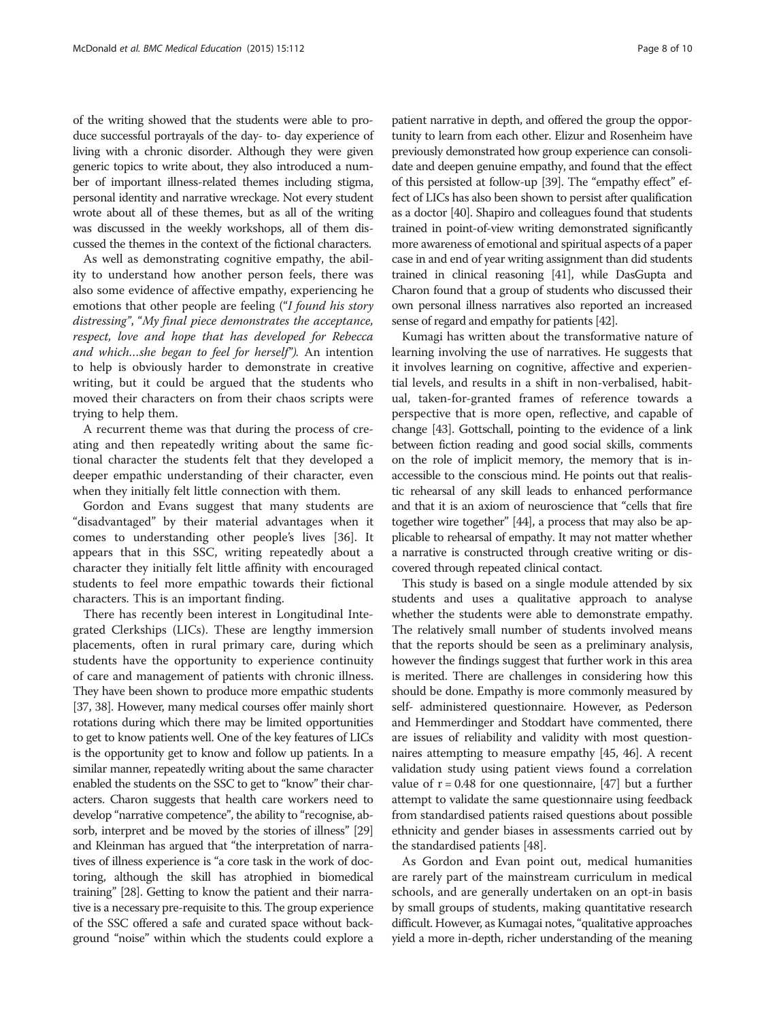of the writing showed that the students were able to produce successful portrayals of the day- to- day experience of living with a chronic disorder. Although they were given generic topics to write about, they also introduced a number of important illness-related themes including stigma, personal identity and narrative wreckage. Not every student wrote about all of these themes, but as all of the writing was discussed in the weekly workshops, all of them discussed the themes in the context of the fictional characters.

As well as demonstrating cognitive empathy, the ability to understand how another person feels, there was also some evidence of affective empathy, experiencing he emotions that other people are feeling ("I found his story distressing", "My final piece demonstrates the acceptance, respect, love and hope that has developed for Rebecca and which…she began to feel for herself"). An intention to help is obviously harder to demonstrate in creative writing, but it could be argued that the students who moved their characters on from their chaos scripts were trying to help them.

A recurrent theme was that during the process of creating and then repeatedly writing about the same fictional character the students felt that they developed a deeper empathic understanding of their character, even when they initially felt little connection with them.

Gordon and Evans suggest that many students are "disadvantaged" by their material advantages when it comes to understanding other people's lives [[36](#page-8-0)]. It appears that in this SSC, writing repeatedly about a character they initially felt little affinity with encouraged students to feel more empathic towards their fictional characters. This is an important finding.

There has recently been interest in Longitudinal Integrated Clerkships (LICs). These are lengthy immersion placements, often in rural primary care, during which students have the opportunity to experience continuity of care and management of patients with chronic illness. They have been shown to produce more empathic students [[37](#page-9-0), [38](#page-9-0)]. However, many medical courses offer mainly short rotations during which there may be limited opportunities to get to know patients well. One of the key features of LICs is the opportunity get to know and follow up patients. In a similar manner, repeatedly writing about the same character enabled the students on the SSC to get to "know" their characters. Charon suggests that health care workers need to develop "narrative competence", the ability to "recognise, absorb, interpret and be moved by the stories of illness" [\[29](#page-8-0)] and Kleinman has argued that "the interpretation of narratives of illness experience is "a core task in the work of doctoring, although the skill has atrophied in biomedical training" [[28\]](#page-8-0). Getting to know the patient and their narrative is a necessary pre-requisite to this. The group experience of the SSC offered a safe and curated space without background "noise" within which the students could explore a patient narrative in depth, and offered the group the opportunity to learn from each other. Elizur and Rosenheim have previously demonstrated how group experience can consolidate and deepen genuine empathy, and found that the effect of this persisted at follow-up [\[39\]](#page-9-0). The "empathy effect" effect of LICs has also been shown to persist after qualification as a doctor [\[40\]](#page-9-0). Shapiro and colleagues found that students trained in point-of-view writing demonstrated significantly more awareness of emotional and spiritual aspects of a paper case in and end of year writing assignment than did students trained in clinical reasoning [[41](#page-9-0)], while DasGupta and Charon found that a group of students who discussed their own personal illness narratives also reported an increased sense of regard and empathy for patients [\[42\]](#page-9-0).

Kumagi has written about the transformative nature of learning involving the use of narratives. He suggests that it involves learning on cognitive, affective and experiential levels, and results in a shift in non-verbalised, habitual, taken-for-granted frames of reference towards a perspective that is more open, reflective, and capable of change [\[43](#page-9-0)]. Gottschall, pointing to the evidence of a link between fiction reading and good social skills, comments on the role of implicit memory, the memory that is inaccessible to the conscious mind. He points out that realistic rehearsal of any skill leads to enhanced performance and that it is an axiom of neuroscience that "cells that fire together wire together" [[44\]](#page-9-0), a process that may also be applicable to rehearsal of empathy. It may not matter whether a narrative is constructed through creative writing or discovered through repeated clinical contact.

This study is based on a single module attended by six students and uses a qualitative approach to analyse whether the students were able to demonstrate empathy. The relatively small number of students involved means that the reports should be seen as a preliminary analysis, however the findings suggest that further work in this area is merited. There are challenges in considering how this should be done. Empathy is more commonly measured by self- administered questionnaire. However, as Pederson and Hemmerdinger and Stoddart have commented, there are issues of reliability and validity with most questionnaires attempting to measure empathy [\[45, 46](#page-9-0)]. A recent validation study using patient views found a correlation value of  $r = 0.48$  for one questionnaire, [[47](#page-9-0)] but a further attempt to validate the same questionnaire using feedback from standardised patients raised questions about possible ethnicity and gender biases in assessments carried out by the standardised patients [\[48\]](#page-9-0).

As Gordon and Evan point out, medical humanities are rarely part of the mainstream curriculum in medical schools, and are generally undertaken on an opt-in basis by small groups of students, making quantitative research difficult. However, as Kumagai notes, "qualitative approaches yield a more in-depth, richer understanding of the meaning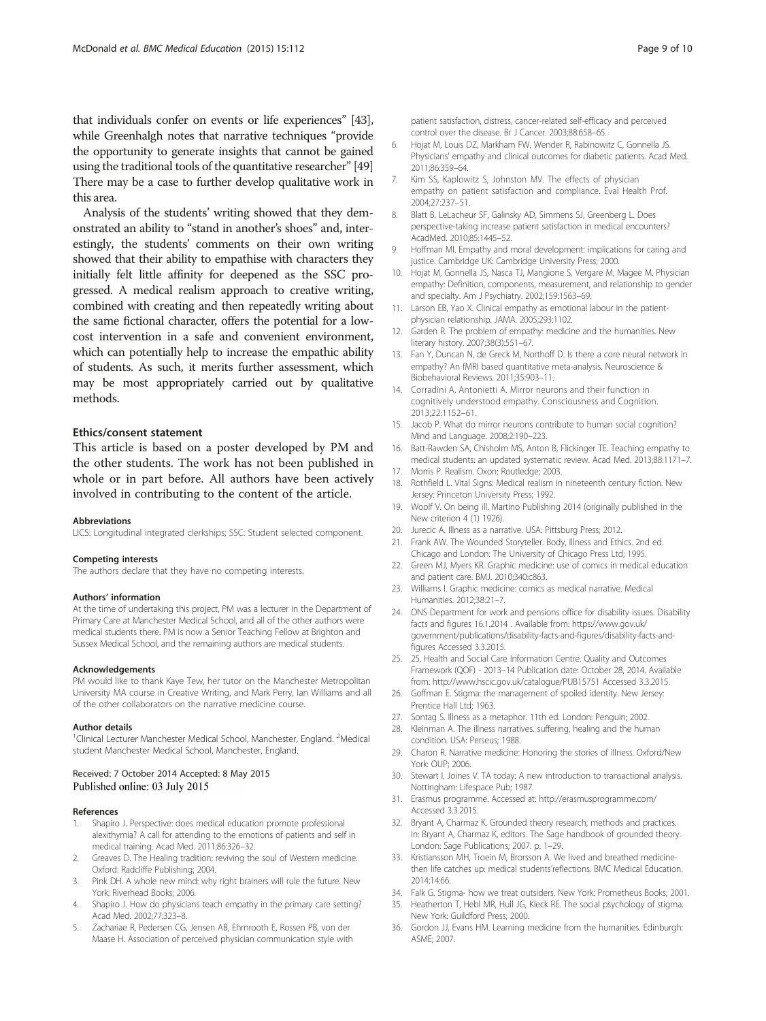<span id="page-8-0"></span>that individuals confer on events or life experiences" [\[43](#page-9-0)], while Greenhalgh notes that narrative techniques "provide the opportunity to generate insights that cannot be gained using the traditional tools of the quantitative researcher" [\[49](#page-9-0)] There may be a case to further develop qualitative work in this area.

Analysis of the students' writing showed that they demonstrated an ability to "stand in another's shoes" and, interestingly, the students' comments on their own writing showed that their ability to empathise with characters they initially felt little affinity for deepened as the SSC progressed. A medical realism approach to creative writing, combined with creating and then repeatedly writing about the same fictional character, offers the potential for a lowcost intervention in a safe and convenient environment, which can potentially help to increase the empathic ability of students. As such, it merits further assessment, which may be most appropriately carried out by qualitative methods.

# Ethics/consent statement

This article is based on a poster developed by PM and the other students. The work has not been published in whole or in part before. All authors have been actively involved in contributing to the content of the article.

#### Abbreviations

LICS: Longitudinal integrated clerkships; SSC: Student selected component.

#### Competing interests

The authors declare that they have no competing interests.

#### Authors' information

At the time of undertaking this project, PM was a lecturer in the Department of Primary Care at Manchester Medical School, and all of the other authors were medical students there. PM is now a Senior Teaching Fellow at Brighton and Sussex Medical School, and the remaining authors are medical students.

#### Acknowledgements

PM would like to thank Kaye Tew, her tutor on the Manchester Metropolitan University MA course in Creative Writing, and Mark Perry, Ian Williams and all of the other collaborators on the narrative medicine course.

#### Author details

<sup>1</sup>Clinical Lecturer Manchester Medical School, Manchester, England. <sup>2</sup>Medical student Manchester Medical School, Manchester, England.

#### Received: 7 October 2014 Accepted: 8 May 2015 Published online: 03 July 2015

#### References

- 1. Shapiro J. Perspective: does medical education promote professional alexithymia? A call for attending to the emotions of patients and self in medical training. Acad Med. 2011;86:326–32.
- 2. Greaves D. The Healing tradition: reviving the soul of Western medicine. Oxford: Radcliffe Publishing; 2004.
- 3. Pink DH. A whole new mind: why right brainers will rule the future. New York: Riverhead Books; 2006.
- Shapiro J. How do physicians teach empathy in the primary care setting? Acad Med. 2002;77:323–8.
- 5. Zachariae R, Pedersen CG, Jensen AB, Ehrnrooth E, Rossen PB, von der Maase H. Association of perceived physician communication style with

patient satisfaction, distress, cancer-related self-efficacy and perceived control over the disease. Br J Cancer. 2003;88:658–65.

- 6. Hojat M, Louis DZ, Markham FW, Wender R, Rabinowitz C, Gonnella JS. Physicians' empathy and clinical outcomes for diabetic patients. Acad Med. 2011;86:359–64.
- 7. Kim SS, Kaplowitz S, Johnston MV. The effects of physician empathy on patient satisfaction and compliance. Eval Health Prof. 2004;27:237–51.
- 8. Blatt B, LeLacheur SF, Galinsky AD, Simmens SJ, Greenberg L. Does perspective-taking increase patient satisfaction in medical encounters? AcadMed. 2010;85:1445–52.
- 9. Hoffman MI. Empathy and moral development: implications for caring and justice. Cambridge UK: Cambridge University Press; 2000.
- 10. Hojat M, Gonnella JS, Nasca TJ, Mangione S, Vergare M, Magee M. Physician empathy: Definition, components, measurement, and relationship to gender and specialty. Am J Psychiatry. 2002;159:1563–69.
- 11. Larson EB, Yao X. Clinical empathy as emotional labour in the patientphysician relationship. JAMA. 2005;293:1102.
- 12. Garden R. The problem of empathy: medicine and the humanities. New literary history. 2007;38(3):551–67.
- 13. Fan Y, Duncan N, de Greck M, Northoff D. Is there a core neural network in empathy? An fMRI based quantitative meta-analysis. Neuroscience & Biobehavioral Reviews. 2011;35:903–11.
- 14. Corradini A, Antonietti A. Mirror neurons and their function in cognitively understood empathy. Consciousness and Cognition. 2013;22:1152–61.
- 15. Jacob P. What do mirror neurons contribute to human social cognition? Mind and Language. 2008;2:190–223.
- 16. Batt-Rawden SA, Chisholm MS, Anton B, Flickinger TE. Teaching empathy to medical students: an updated systematic review. Acad Med. 2013;88:1171–7.
- 17. Morris P. Realism. Oxon: Routledge; 2003.
- 18. Rothfield L. Vital Signs: Medical realism in nineteenth century fiction. New Jersey: Princeton University Press; 1992.
- 19. Woolf V. On being ill. Martino Publishing 2014 (originally published in the New criterion 4 (1) 1926).
- 20. Jurecic A. Illness as a narrative. USA: Pittsburg Press; 2012.
- 21. Frank AW. The Wounded Storyteller. Body, Illness and Ethics. 2nd ed. Chicago and London: The University of Chicago Press Ltd; 1995.
- 22. Green MJ, Myers KR. Graphic medicine: use of comics in medical education and patient care. BMJ. 2010;340:c863.
- 23. Williams I. Graphic medicine: comics as medical narrative. Medical Humanities. 2012;38:21–7.
- 24. ONS Department for work and pensions office for disability issues. Disability facts and figures 16.1.2014 . Available from: [https://www.gov.uk/](https://www.gov.uk/government/publications/disability-facts-and-figures/disability-facts-and-figures) [government/publications/disability-facts-and-figures/disability-facts-and](https://www.gov.uk/government/publications/disability-facts-and-figures/disability-facts-and-figures)[figures](https://www.gov.uk/government/publications/disability-facts-and-figures/disability-facts-and-figures) Accessed 3.3.2015.
- 25. 25. Health and Social Care Information Centre. Quality and Outcomes Framework (QOF) - 2013–14 Publication date: October 28, 2014. Available from:<http://www.hscic.gov.uk/catalogue/PUB15751> Accessed 3.3.2015.
- 26. Goffman E. Stigma: the management of spoiled identity. New Jersey: Prentice Hall Ltd; 1963.
- 27. Sontag S. Illness as a metaphor. 11th ed. London: Penguin; 2002.
- 28. Kleinman A. The illness narratives. suffering, healing and the human condition. USA: Perseus; 1988.
- 29. Charon R. Narrative medicine: Honoring the stories of illness. Oxford/New York: OUP; 2006.
- 30. Stewart I, Joines V. TA today: A new introduction to transactional analysis. Nottingham: Lifespace Pub; 1987.
- 31. Erasmus programme. Accessed at:<http://erasmusprogramme.com/> Accessed 3.3.2015.
- 32. Bryant A, Charmaz K. Grounded theory research; methods and practices. In: Bryant A, Charmaz K, editors. The Sage handbook of grounded theory. London: Sage Publications; 2007. p. 1–29.
- 33. Kristiansson MH, Troein M, Brorsson A. We lived and breathed medicinethen life catches up: medical students'reflections. BMC Medical Education. 2014;14:66.
- 34. Falk G. Stigma- how we treat outsiders. New York: Prometheus Books; 2001.
- 35. Heatherton T, Hebl MR, Hull JG, Kleck RE. The social psychology of stigma. New York: Guildford Press; 2000.
- 36. Gordon JJ, Evans HM. Learning medicine from the humanities. Edinburgh: ASME; 2007.